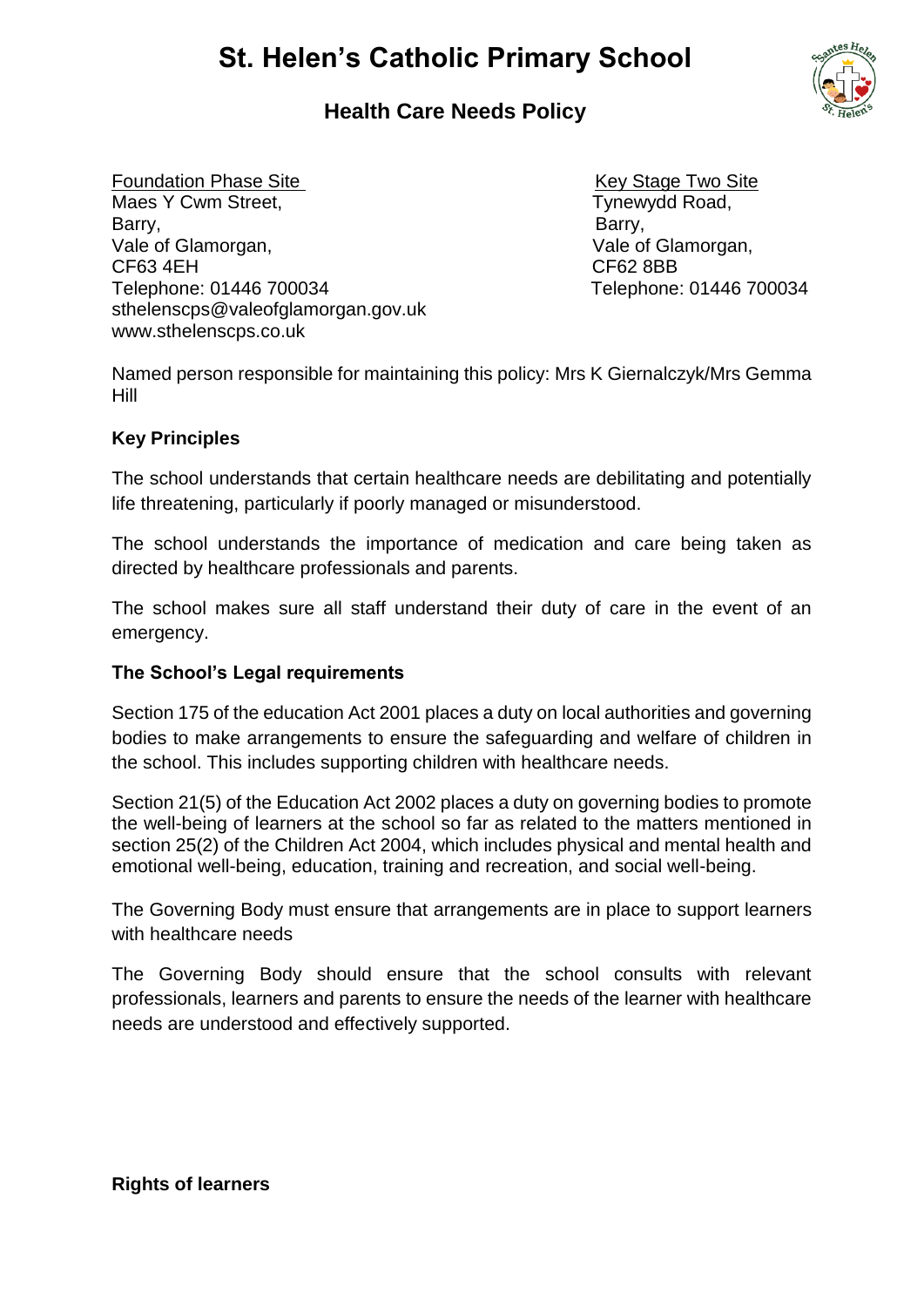# **St. Helen's Catholic Primary School**

## **Health Care Needs Policy**

Foundation Phase Site **Key Stage Two Site** Key Stage Two Site Maes Y Cwm Street, The Mathematic Control of Tynewydd Road, Barry, **Barry**, **Barry**, **Barry**, **Barry**, Vale of Glamorgan, Vale of Glamorgan, CF63 4EH CF62 8BB Telephone: 01446 700034 Telephone: 01446 700034 sthelenscps@valeofglamorgan.gov.uk www.sthelenscps.co.uk

Named person responsible for maintaining this policy: Mrs K Giernalczyk/Mrs Gemma Hill

## **Key Principles**

The school understands that certain healthcare needs are debilitating and potentially life threatening, particularly if poorly managed or misunderstood.

The school understands the importance of medication and care being taken as directed by healthcare professionals and parents.

The school makes sure all staff understand their duty of care in the event of an emergency.

## **The School's Legal requirements**

Section 175 of the education Act 2001 places a duty on local authorities and governing bodies to make arrangements to ensure the safeguarding and welfare of children in the school. This includes supporting children with healthcare needs.

Section 21(5) of the Education Act 2002 places a duty on governing bodies to promote the well-being of learners at the school so far as related to the matters mentioned in section 25(2) of the Children Act 2004, which includes physical and mental health and emotional well-being, education, training and recreation, and social well-being.

The Governing Body must ensure that arrangements are in place to support learners with healthcare needs

The Governing Body should ensure that the school consults with relevant professionals, learners and parents to ensure the needs of the learner with healthcare needs are understood and effectively supported.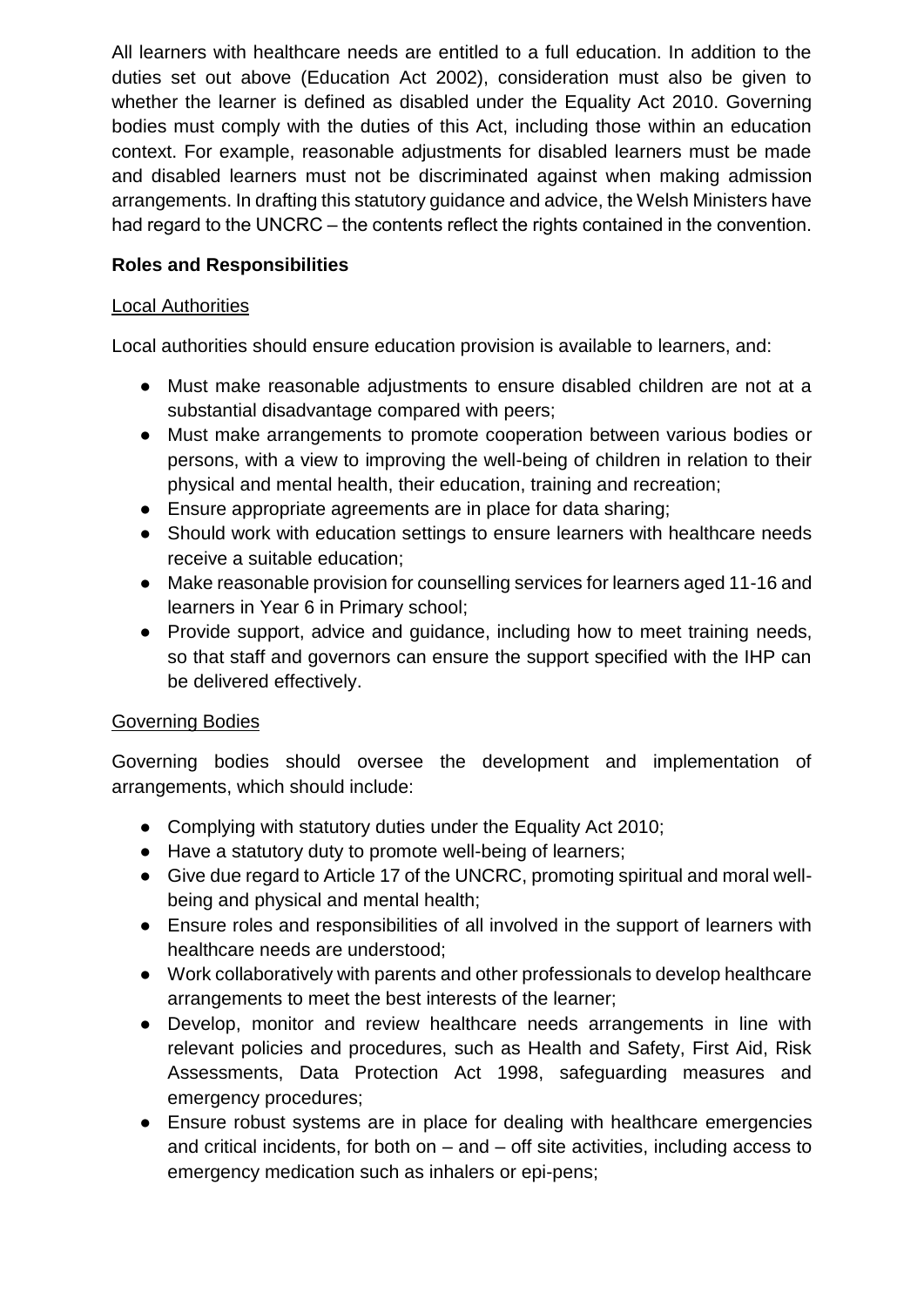All learners with healthcare needs are entitled to a full education. In addition to the duties set out above (Education Act 2002), consideration must also be given to whether the learner is defined as disabled under the Equality Act 2010. Governing bodies must comply with the duties of this Act, including those within an education context. For example, reasonable adjustments for disabled learners must be made and disabled learners must not be discriminated against when making admission arrangements. In drafting this statutory guidance and advice, the Welsh Ministers have had regard to the UNCRC – the contents reflect the rights contained in the convention.

## **Roles and Responsibilities**

#### Local Authorities

Local authorities should ensure education provision is available to learners, and:

- Must make reasonable adjustments to ensure disabled children are not at a substantial disadvantage compared with peers;
- Must make arrangements to promote cooperation between various bodies or persons, with a view to improving the well-being of children in relation to their physical and mental health, their education, training and recreation;
- Ensure appropriate agreements are in place for data sharing;
- Should work with education settings to ensure learners with healthcare needs receive a suitable education;
- Make reasonable provision for counselling services for learners aged 11-16 and learners in Year 6 in Primary school;
- Provide support, advice and guidance, including how to meet training needs, so that staff and governors can ensure the support specified with the IHP can be delivered effectively.

## Governing Bodies

Governing bodies should oversee the development and implementation of arrangements, which should include:

- Complying with statutory duties under the Equality Act 2010;
- Have a statutory duty to promote well-being of learners;
- Give due regard to Article 17 of the UNCRC, promoting spiritual and moral wellbeing and physical and mental health;
- Ensure roles and responsibilities of all involved in the support of learners with healthcare needs are understood;
- Work collaboratively with parents and other professionals to develop healthcare arrangements to meet the best interests of the learner;
- Develop, monitor and review healthcare needs arrangements in line with relevant policies and procedures, such as Health and Safety, First Aid, Risk Assessments, Data Protection Act 1998, safeguarding measures and emergency procedures;
- Ensure robust systems are in place for dealing with healthcare emergencies and critical incidents, for both on  $-$  and  $-$  off site activities, including access to emergency medication such as inhalers or epi-pens;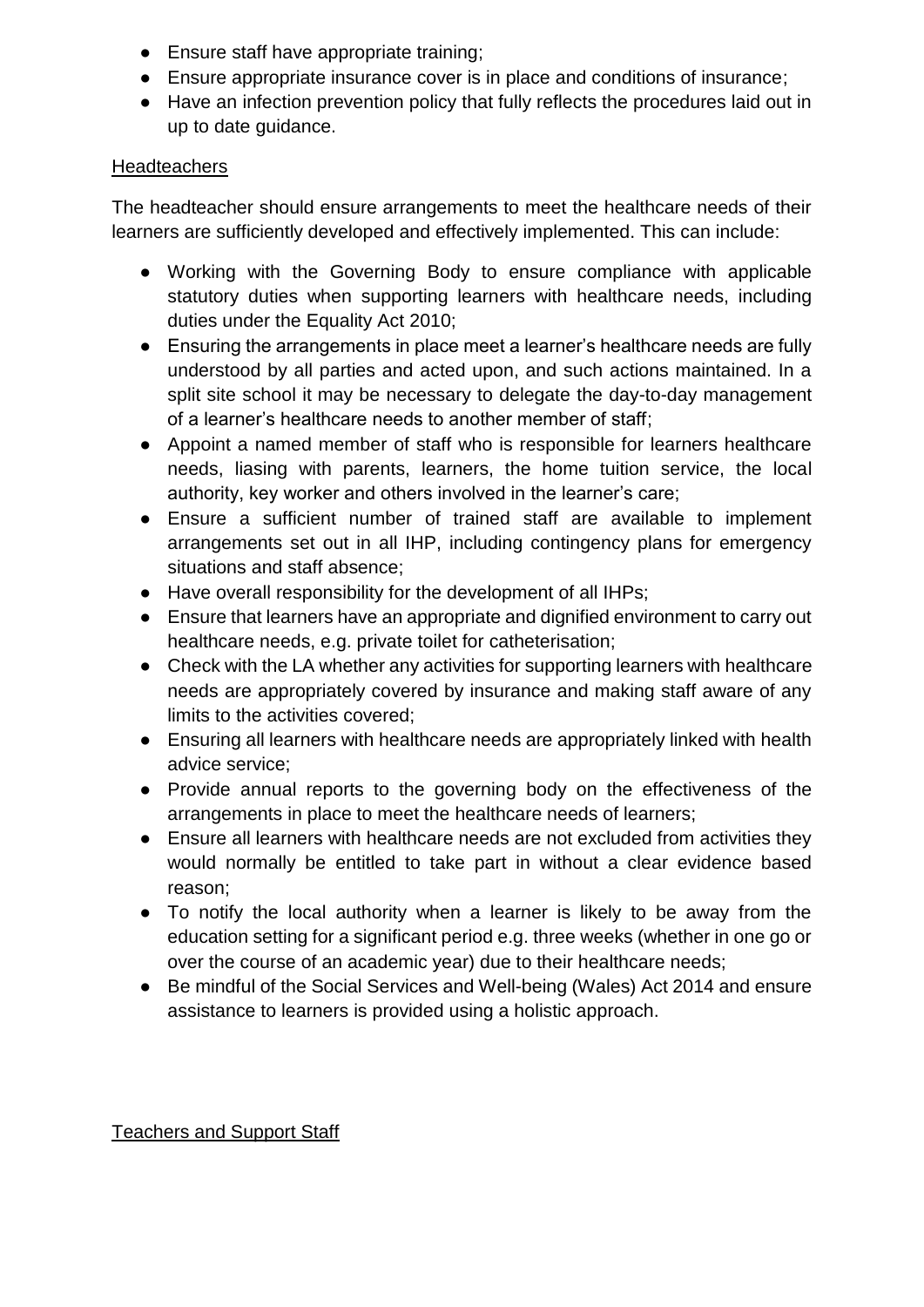- Ensure staff have appropriate training;
- Ensure appropriate insurance cover is in place and conditions of insurance;
- Have an infection prevention policy that fully reflects the procedures laid out in up to date guidance.

#### **Headteachers**

The headteacher should ensure arrangements to meet the healthcare needs of their learners are sufficiently developed and effectively implemented. This can include:

- Working with the Governing Body to ensure compliance with applicable statutory duties when supporting learners with healthcare needs, including duties under the Equality Act 2010;
- Ensuring the arrangements in place meet a learner's healthcare needs are fully understood by all parties and acted upon, and such actions maintained. In a split site school it may be necessary to delegate the day-to-day management of a learner's healthcare needs to another member of staff;
- Appoint a named member of staff who is responsible for learners healthcare needs, liasing with parents, learners, the home tuition service, the local authority, key worker and others involved in the learner's care;
- Ensure a sufficient number of trained staff are available to implement arrangements set out in all IHP, including contingency plans for emergency situations and staff absence;
- Have overall responsibility for the development of all IHPs;
- Ensure that learners have an appropriate and dignified environment to carry out healthcare needs, e.g. private toilet for catheterisation;
- Check with the LA whether any activities for supporting learners with healthcare needs are appropriately covered by insurance and making staff aware of any limits to the activities covered;
- Ensuring all learners with healthcare needs are appropriately linked with health advice service;
- Provide annual reports to the governing body on the effectiveness of the arrangements in place to meet the healthcare needs of learners;
- Ensure all learners with healthcare needs are not excluded from activities they would normally be entitled to take part in without a clear evidence based reason;
- To notify the local authority when a learner is likely to be away from the education setting for a significant period e.g. three weeks (whether in one go or over the course of an academic year) due to their healthcare needs;
- Be mindful of the Social Services and Well-being (Wales) Act 2014 and ensure assistance to learners is provided using a holistic approach.

## Teachers and Support Staff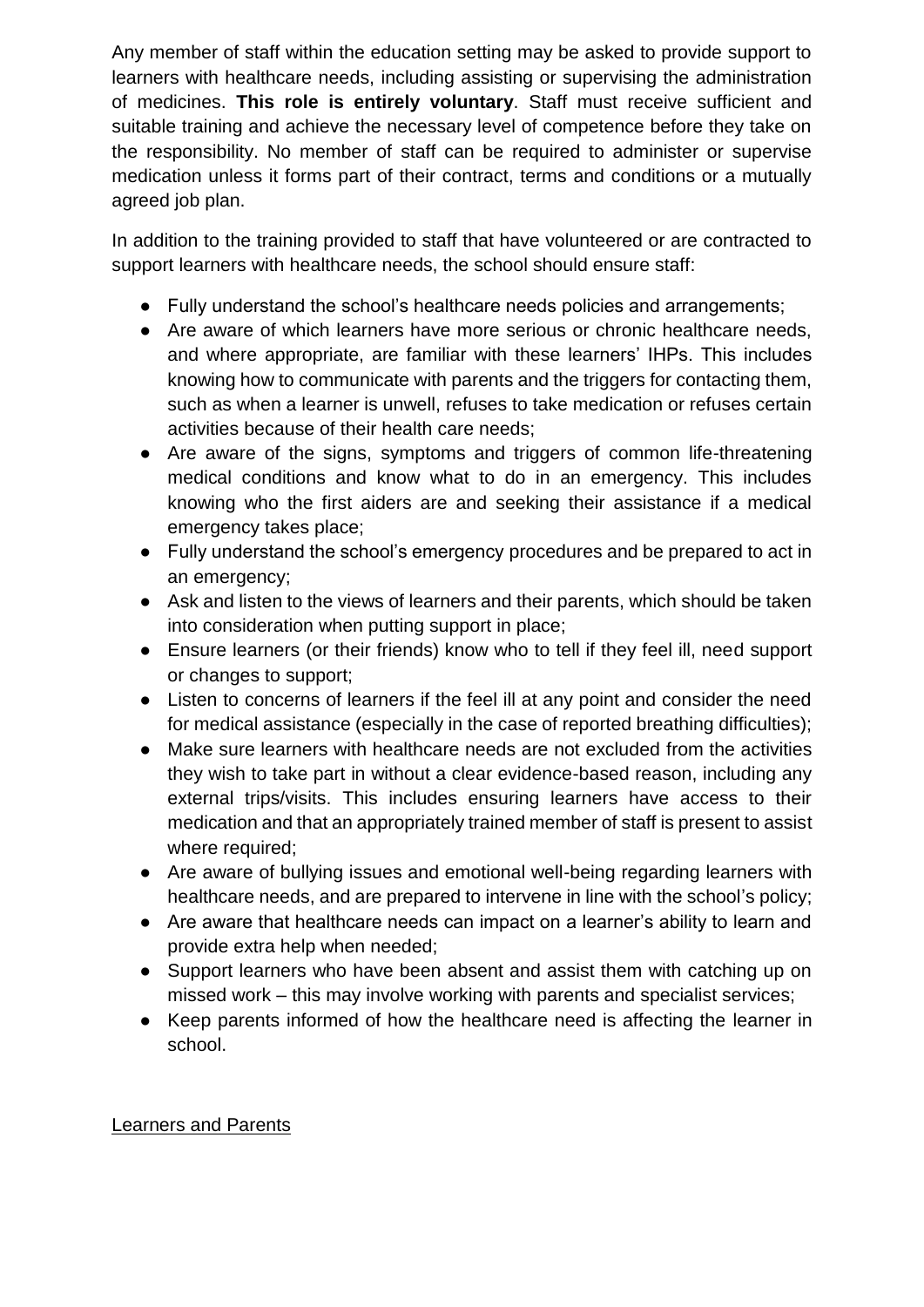Any member of staff within the education setting may be asked to provide support to learners with healthcare needs, including assisting or supervising the administration of medicines. **This role is entirely voluntary**. Staff must receive sufficient and suitable training and achieve the necessary level of competence before they take on the responsibility. No member of staff can be required to administer or supervise medication unless it forms part of their contract, terms and conditions or a mutually agreed job plan.

In addition to the training provided to staff that have volunteered or are contracted to support learners with healthcare needs, the school should ensure staff:

- Fully understand the school's healthcare needs policies and arrangements;
- Are aware of which learners have more serious or chronic healthcare needs, and where appropriate, are familiar with these learners' IHPs. This includes knowing how to communicate with parents and the triggers for contacting them, such as when a learner is unwell, refuses to take medication or refuses certain activities because of their health care needs;
- Are aware of the signs, symptoms and triggers of common life-threatening medical conditions and know what to do in an emergency. This includes knowing who the first aiders are and seeking their assistance if a medical emergency takes place;
- Fully understand the school's emergency procedures and be prepared to act in an emergency;
- Ask and listen to the views of learners and their parents, which should be taken into consideration when putting support in place;
- Ensure learners (or their friends) know who to tell if they feel ill, need support or changes to support;
- Listen to concerns of learners if the feel ill at any point and consider the need for medical assistance (especially in the case of reported breathing difficulties);
- Make sure learners with healthcare needs are not excluded from the activities they wish to take part in without a clear evidence-based reason, including any external trips/visits. This includes ensuring learners have access to their medication and that an appropriately trained member of staff is present to assist where required;
- Are aware of bullying issues and emotional well-being regarding learners with healthcare needs, and are prepared to intervene in line with the school's policy;
- Are aware that healthcare needs can impact on a learner's ability to learn and provide extra help when needed;
- Support learners who have been absent and assist them with catching up on missed work – this may involve working with parents and specialist services;
- Keep parents informed of how the healthcare need is affecting the learner in school.

## Learners and Parents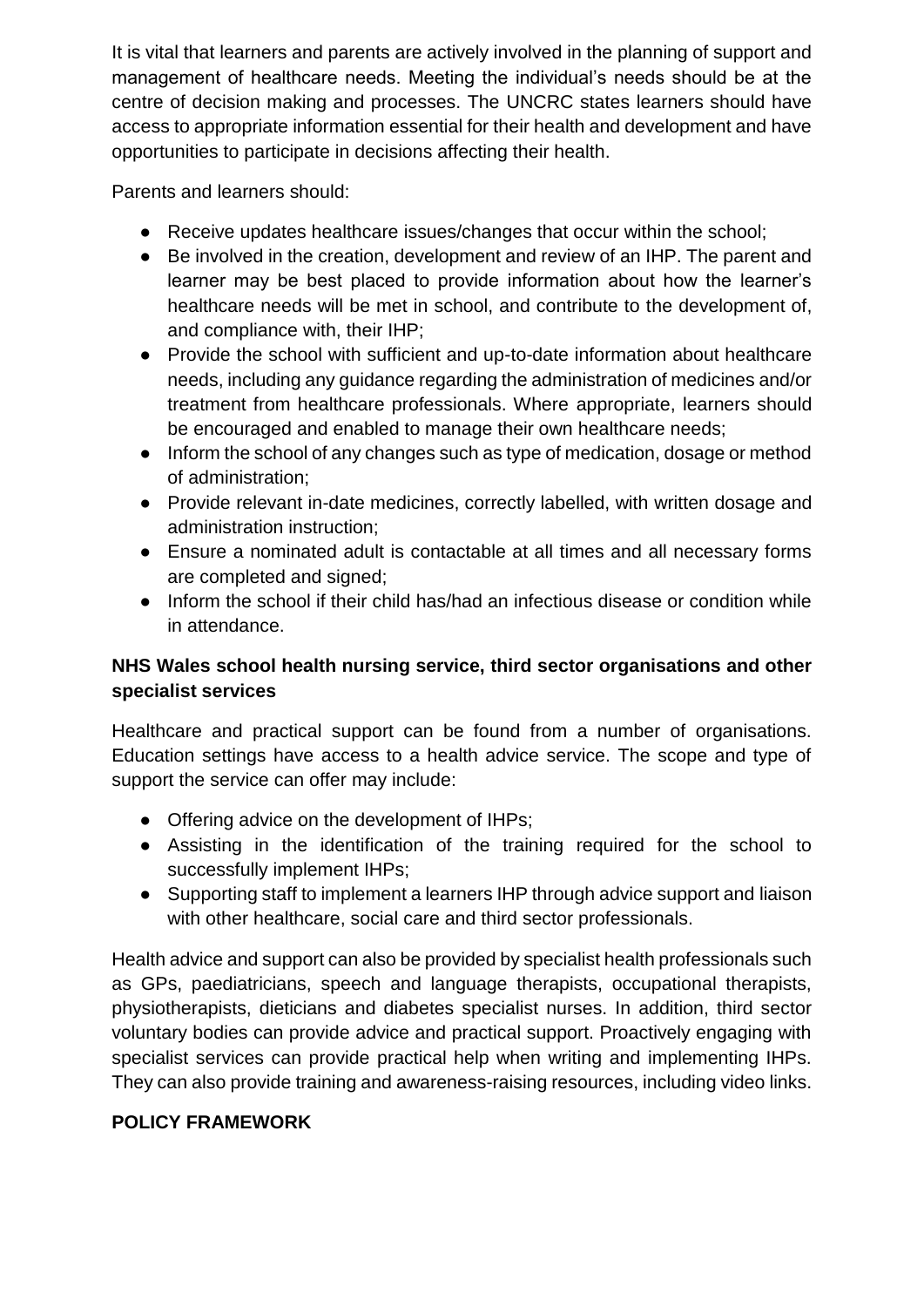It is vital that learners and parents are actively involved in the planning of support and management of healthcare needs. Meeting the individual's needs should be at the centre of decision making and processes. The UNCRC states learners should have access to appropriate information essential for their health and development and have opportunities to participate in decisions affecting their health.

Parents and learners should:

- Receive updates healthcare issues/changes that occur within the school;
- Be involved in the creation, development and review of an IHP. The parent and learner may be best placed to provide information about how the learner's healthcare needs will be met in school, and contribute to the development of, and compliance with, their IHP;
- Provide the school with sufficient and up-to-date information about healthcare needs, including any guidance regarding the administration of medicines and/or treatment from healthcare professionals. Where appropriate, learners should be encouraged and enabled to manage their own healthcare needs;
- Inform the school of any changes such as type of medication, dosage or method of administration;
- Provide relevant in-date medicines, correctly labelled, with written dosage and administration instruction;
- Ensure a nominated adult is contactable at all times and all necessary forms are completed and signed;
- Inform the school if their child has/had an infectious disease or condition while in attendance.

## **NHS Wales school health nursing service, third sector organisations and other specialist services**

Healthcare and practical support can be found from a number of organisations. Education settings have access to a health advice service. The scope and type of support the service can offer may include:

- Offering advice on the development of IHPs;
- Assisting in the identification of the training required for the school to successfully implement IHPs;
- Supporting staff to implement a learners IHP through advice support and liaison with other healthcare, social care and third sector professionals.

Health advice and support can also be provided by specialist health professionals such as GPs, paediatricians, speech and language therapists, occupational therapists, physiotherapists, dieticians and diabetes specialist nurses. In addition, third sector voluntary bodies can provide advice and practical support. Proactively engaging with specialist services can provide practical help when writing and implementing IHPs. They can also provide training and awareness-raising resources, including video links.

## **POLICY FRAMEWORK**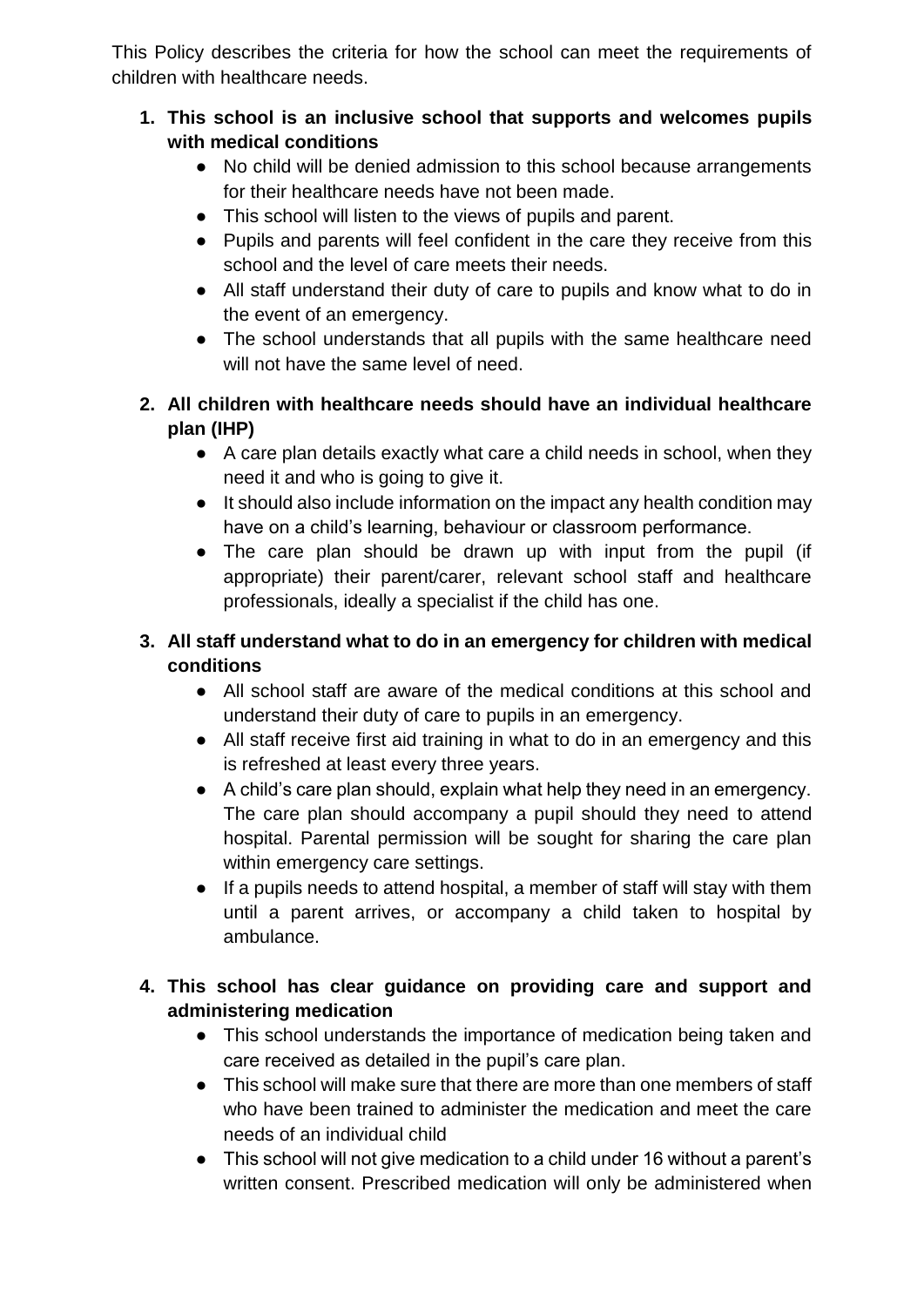This Policy describes the criteria for how the school can meet the requirements of children with healthcare needs.

- **1. This school is an inclusive school that supports and welcomes pupils with medical conditions**
	- No child will be denied admission to this school because arrangements for their healthcare needs have not been made.
	- This school will listen to the views of pupils and parent.
	- Pupils and parents will feel confident in the care they receive from this school and the level of care meets their needs.
	- All staff understand their duty of care to pupils and know what to do in the event of an emergency.
	- The school understands that all pupils with the same healthcare need will not have the same level of need.
- **2. All children with healthcare needs should have an individual healthcare plan (IHP)**
	- A care plan details exactly what care a child needs in school, when they need it and who is going to give it.
	- It should also include information on the impact any health condition may have on a child's learning, behaviour or classroom performance.
	- The care plan should be drawn up with input from the pupil (if appropriate) their parent/carer, relevant school staff and healthcare professionals, ideally a specialist if the child has one.

## **3. All staff understand what to do in an emergency for children with medical conditions**

- All school staff are aware of the medical conditions at this school and understand their duty of care to pupils in an emergency.
- All staff receive first aid training in what to do in an emergency and this is refreshed at least every three years.
- A child's care plan should, explain what help they need in an emergency. The care plan should accompany a pupil should they need to attend hospital. Parental permission will be sought for sharing the care plan within emergency care settings.
- If a pupils needs to attend hospital, a member of staff will stay with them until a parent arrives, or accompany a child taken to hospital by ambulance.

## **4. This school has clear guidance on providing care and support and administering medication**

- This school understands the importance of medication being taken and care received as detailed in the pupil's care plan.
- This school will make sure that there are more than one members of staff who have been trained to administer the medication and meet the care needs of an individual child
- This school will not give medication to a child under 16 without a parent's written consent. Prescribed medication will only be administered when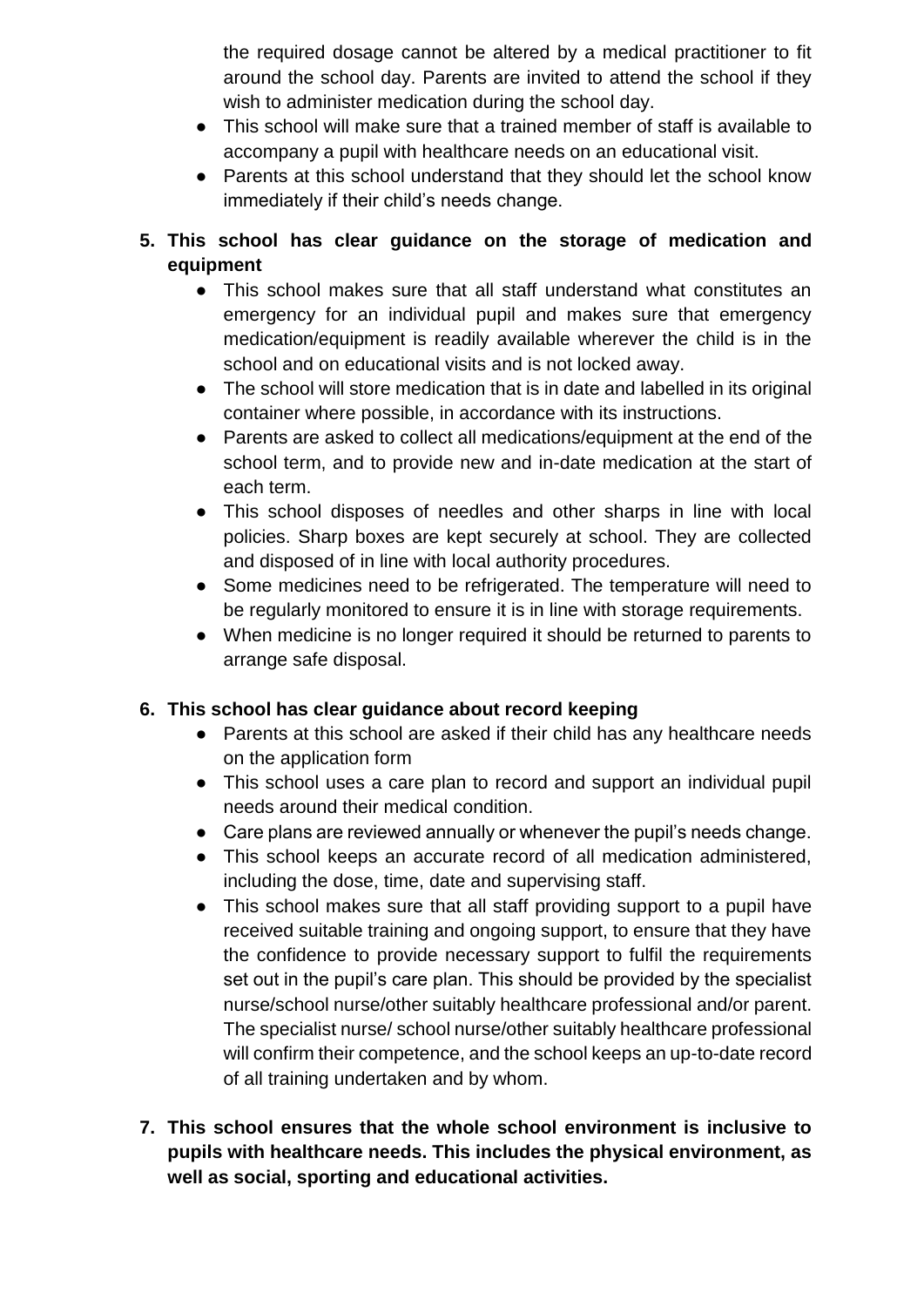the required dosage cannot be altered by a medical practitioner to fit around the school day. Parents are invited to attend the school if they wish to administer medication during the school day.

- This school will make sure that a trained member of staff is available to accompany a pupil with healthcare needs on an educational visit.
- Parents at this school understand that they should let the school know immediately if their child's needs change.
- **5. This school has clear guidance on the storage of medication and equipment** 
	- This school makes sure that all staff understand what constitutes an emergency for an individual pupil and makes sure that emergency medication/equipment is readily available wherever the child is in the school and on educational visits and is not locked away.
	- The school will store medication that is in date and labelled in its original container where possible, in accordance with its instructions.
	- Parents are asked to collect all medications/equipment at the end of the school term, and to provide new and in-date medication at the start of each term.
	- This school disposes of needles and other sharps in line with local policies. Sharp boxes are kept securely at school. They are collected and disposed of in line with local authority procedures.
	- Some medicines need to be refrigerated. The temperature will need to be regularly monitored to ensure it is in line with storage requirements.
	- When medicine is no longer required it should be returned to parents to arrange safe disposal.

## **6. This school has clear guidance about record keeping**

- Parents at this school are asked if their child has any healthcare needs on the application form
- This school uses a care plan to record and support an individual pupil needs around their medical condition.
- Care plans are reviewed annually or whenever the pupil's needs change.
- This school keeps an accurate record of all medication administered, including the dose, time, date and supervising staff.
- This school makes sure that all staff providing support to a pupil have received suitable training and ongoing support, to ensure that they have the confidence to provide necessary support to fulfil the requirements set out in the pupil's care plan. This should be provided by the specialist nurse/school nurse/other suitably healthcare professional and/or parent. The specialist nurse/ school nurse/other suitably healthcare professional will confirm their competence, and the school keeps an up-to-date record of all training undertaken and by whom.
- **7. This school ensures that the whole school environment is inclusive to pupils with healthcare needs. This includes the physical environment, as well as social, sporting and educational activities.**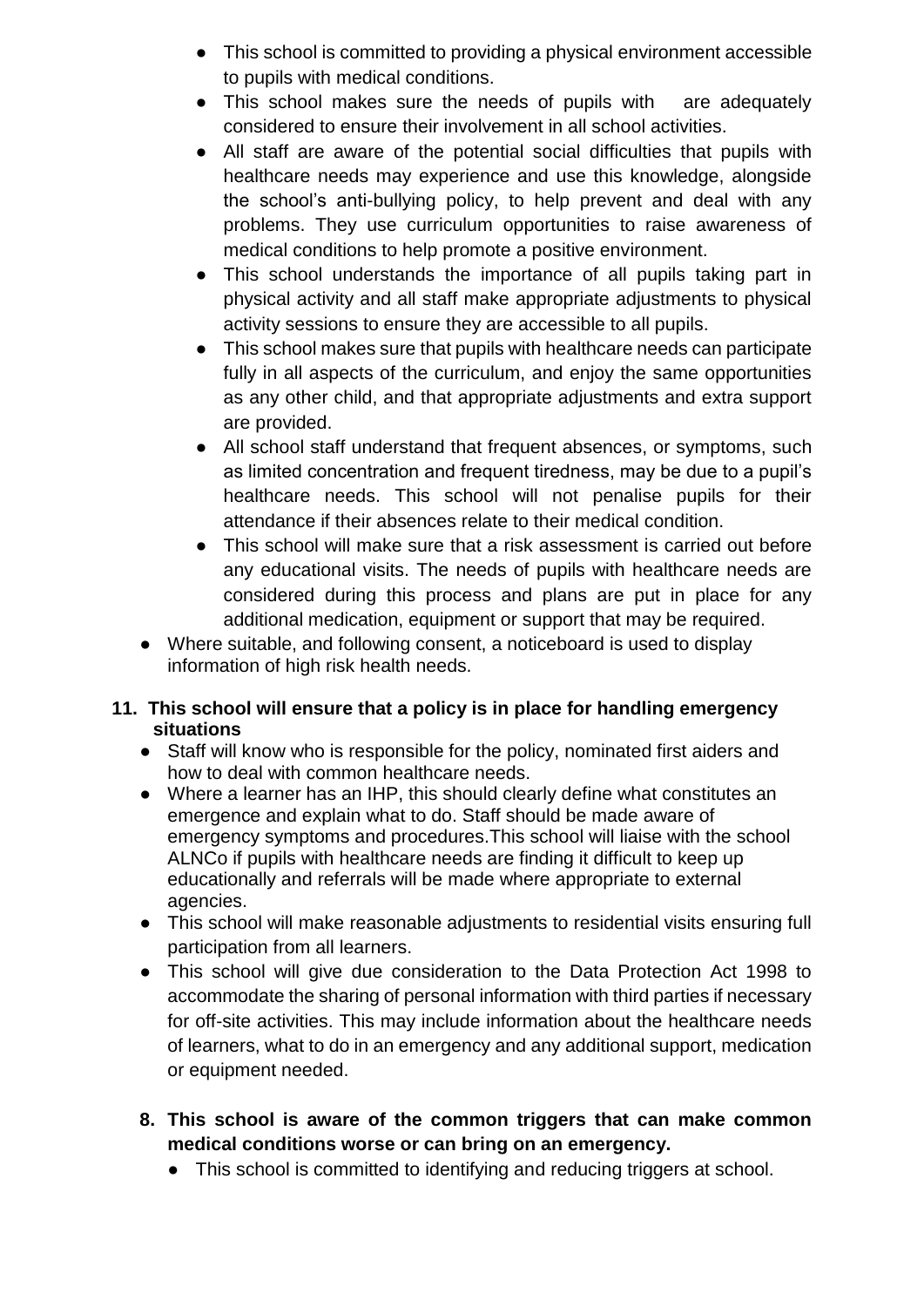- This school is committed to providing a physical environment accessible to pupils with medical conditions.
- This school makes sure the needs of pupils with are adequately considered to ensure their involvement in all school activities.
- All staff are aware of the potential social difficulties that pupils with healthcare needs may experience and use this knowledge, alongside the school's anti-bullying policy, to help prevent and deal with any problems. They use curriculum opportunities to raise awareness of medical conditions to help promote a positive environment.
- This school understands the importance of all pupils taking part in physical activity and all staff make appropriate adjustments to physical activity sessions to ensure they are accessible to all pupils.
- This school makes sure that pupils with healthcare needs can participate fully in all aspects of the curriculum, and enjoy the same opportunities as any other child, and that appropriate adjustments and extra support are provided.
- All school staff understand that frequent absences, or symptoms, such as limited concentration and frequent tiredness, may be due to a pupil's healthcare needs. This school will not penalise pupils for their attendance if their absences relate to their medical condition.
- This school will make sure that a risk assessment is carried out before any educational visits. The needs of pupils with healthcare needs are considered during this process and plans are put in place for any additional medication, equipment or support that may be required.
- Where suitable, and following consent, a noticeboard is used to display information of high risk health needs.

## **11. This school will ensure that a policy is in place for handling emergency situations**

- Staff will know who is responsible for the policy, nominated first aiders and how to deal with common healthcare needs.
- Where a learner has an IHP, this should clearly define what constitutes an emergence and explain what to do. Staff should be made aware of emergency symptoms and procedures.This school will liaise with the school ALNCo if pupils with healthcare needs are finding it difficult to keep up educationally and referrals will be made where appropriate to external agencies.
- This school will make reasonable adjustments to residential visits ensuring full participation from all learners.
- This school will give due consideration to the Data Protection Act 1998 to accommodate the sharing of personal information with third parties if necessary for off-site activities. This may include information about the healthcare needs of learners, what to do in an emergency and any additional support, medication or equipment needed.
- **8. This school is aware of the common triggers that can make common medical conditions worse or can bring on an emergency.** 
	- This school is committed to identifying and reducing triggers at school.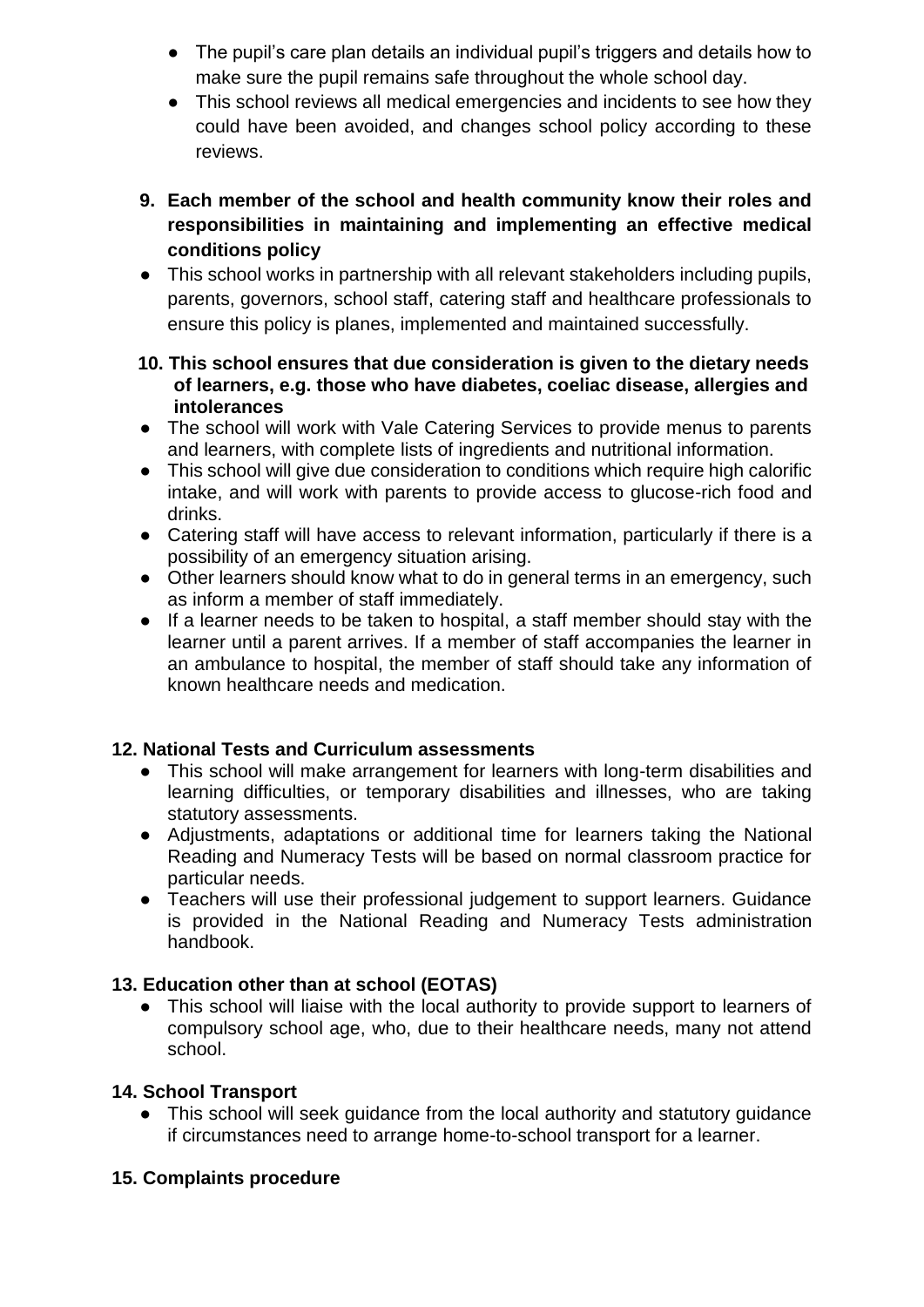- The pupil's care plan details an individual pupil's triggers and details how to make sure the pupil remains safe throughout the whole school day.
- This school reviews all medical emergencies and incidents to see how they could have been avoided, and changes school policy according to these reviews.
- **9. Each member of the school and health community know their roles and responsibilities in maintaining and implementing an effective medical conditions policy**
- This school works in partnership with all relevant stakeholders including pupils, parents, governors, school staff, catering staff and healthcare professionals to ensure this policy is planes, implemented and maintained successfully.

#### **10. This school ensures that due consideration is given to the dietary needs of learners, e.g. those who have diabetes, coeliac disease, allergies and intolerances**

- The school will work with Vale Catering Services to provide menus to parents and learners, with complete lists of ingredients and nutritional information.
- This school will give due consideration to conditions which require high calorific intake, and will work with parents to provide access to glucose-rich food and drinks.
- Catering staff will have access to relevant information, particularly if there is a possibility of an emergency situation arising.
- Other learners should know what to do in general terms in an emergency, such as inform a member of staff immediately.
- If a learner needs to be taken to hospital, a staff member should stay with the learner until a parent arrives. If a member of staff accompanies the learner in an ambulance to hospital, the member of staff should take any information of known healthcare needs and medication.

## **12. National Tests and Curriculum assessments**

- This school will make arrangement for learners with long-term disabilities and learning difficulties, or temporary disabilities and illnesses, who are taking statutory assessments.
- Adjustments, adaptations or additional time for learners taking the National Reading and Numeracy Tests will be based on normal classroom practice for particular needs.
- Teachers will use their professional judgement to support learners. Guidance is provided in the National Reading and Numeracy Tests administration handbook.

## **13. Education other than at school (EOTAS)**

● This school will liaise with the local authority to provide support to learners of compulsory school age, who, due to their healthcare needs, many not attend school.

## **14. School Transport**

● This school will seek guidance from the local authority and statutory guidance if circumstances need to arrange home-to-school transport for a learner.

## **15. Complaints procedure**